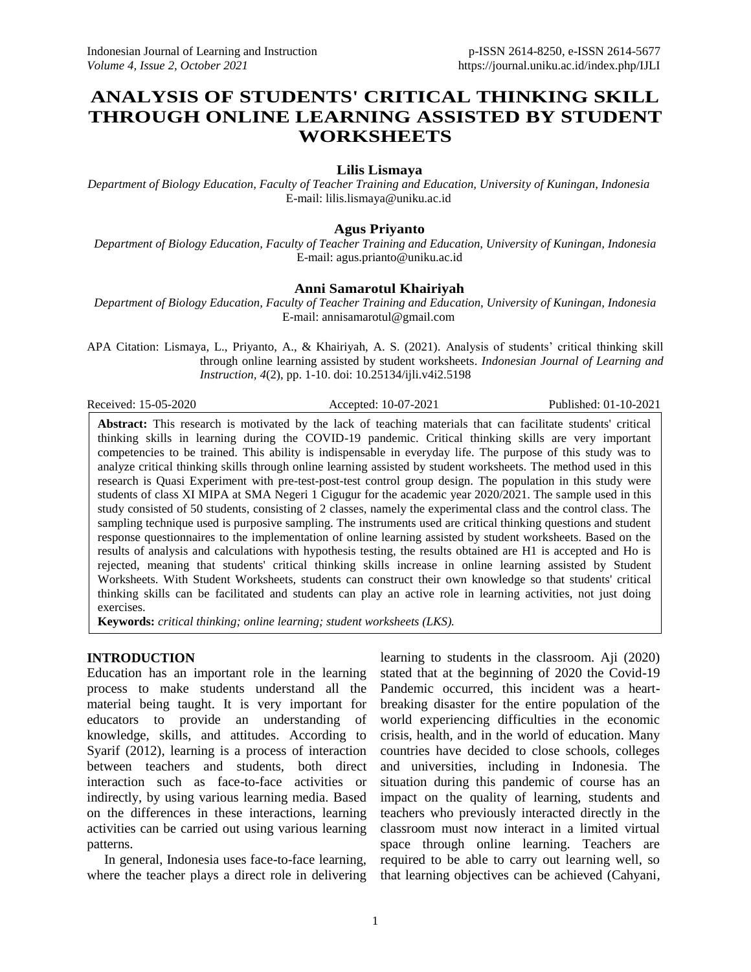# **ANALYSIS OF STUDENTS' CRITICAL THINKING SKILL THROUGH ONLINE LEARNING ASSISTED BY STUDENT WORKSHEETS**

### **Lilis Lismaya**

*Department of Biology Education, Faculty of Teacher Training and Education, University of Kuningan, Indonesia* E-mail: lilis.lismaya@uniku.ac.id

### **Agus Priyanto**

*Department of Biology Education, Faculty of Teacher Training and Education, University of Kuningan, Indonesia* E-mail: agus.prianto@uniku.ac.id

### **Anni Samarotul Khairiyah**

*Department of Biology Education, Faculty of Teacher Training and Education, University of Kuningan, Indonesia* E-mail: annisamarotul@gmail.com

APA Citation: Lismaya, L., Priyanto, A., & Khairiyah, A. S. (2021). Analysis of students' critical thinking skill through online learning assisted by student worksheets. *Indonesian Journal of Learning and Instruction, 4*(2), pp. 1-10. doi: 10.25134/ijli.v4i2.5198

Received: 15-05-2020 Accepted: 10-07-2021 Published: 01-10-2021

**Abstract:** This research is motivated by the lack of teaching materials that can facilitate students' critical thinking skills in learning during the COVID-19 pandemic. Critical thinking skills are very important competencies to be trained. This ability is indispensable in everyday life. The purpose of this study was to analyze critical thinking skills through online learning assisted by student worksheets. The method used in this research is Quasi Experiment with pre-test-post-test control group design. The population in this study were students of class XI MIPA at SMA Negeri 1 Cigugur for the academic year 2020/2021. The sample used in this study consisted of 50 students, consisting of 2 classes, namely the experimental class and the control class. The sampling technique used is purposive sampling. The instruments used are critical thinking questions and student response questionnaires to the implementation of online learning assisted by student worksheets. Based on the results of analysis and calculations with hypothesis testing, the results obtained are H1 is accepted and Ho is rejected, meaning that students' critical thinking skills increase in online learning assisted by Student Worksheets. With Student Worksheets, students can construct their own knowledge so that students' critical thinking skills can be facilitated and students can play an active role in learning activities, not just doing exercises.

**Keywords:** *critical thinking; online learning; student worksheets (LKS).*

### **INTRODUCTION**

Education has an important role in the learning process to make students understand all the material being taught. It is very important for educators to provide an understanding of knowledge, skills, and attitudes. According to Syarif (2012), learning is a process of interaction between teachers and students, both direct interaction such as face-to-face activities or indirectly, by using various learning media. Based on the differences in these interactions, learning activities can be carried out using various learning patterns.

In general, Indonesia uses face-to-face learning, where the teacher plays a direct role in delivering learning to students in the classroom. Aji (2020) stated that at the beginning of 2020 the Covid-19 Pandemic occurred, this incident was a heartbreaking disaster for the entire population of the world experiencing difficulties in the economic crisis, health, and in the world of education. Many countries have decided to close schools, colleges and universities, including in Indonesia. The situation during this pandemic of course has an impact on the quality of learning, students and teachers who previously interacted directly in the classroom must now interact in a limited virtual space through online learning. Teachers are required to be able to carry out learning well, so that learning objectives can be achieved (Cahyani,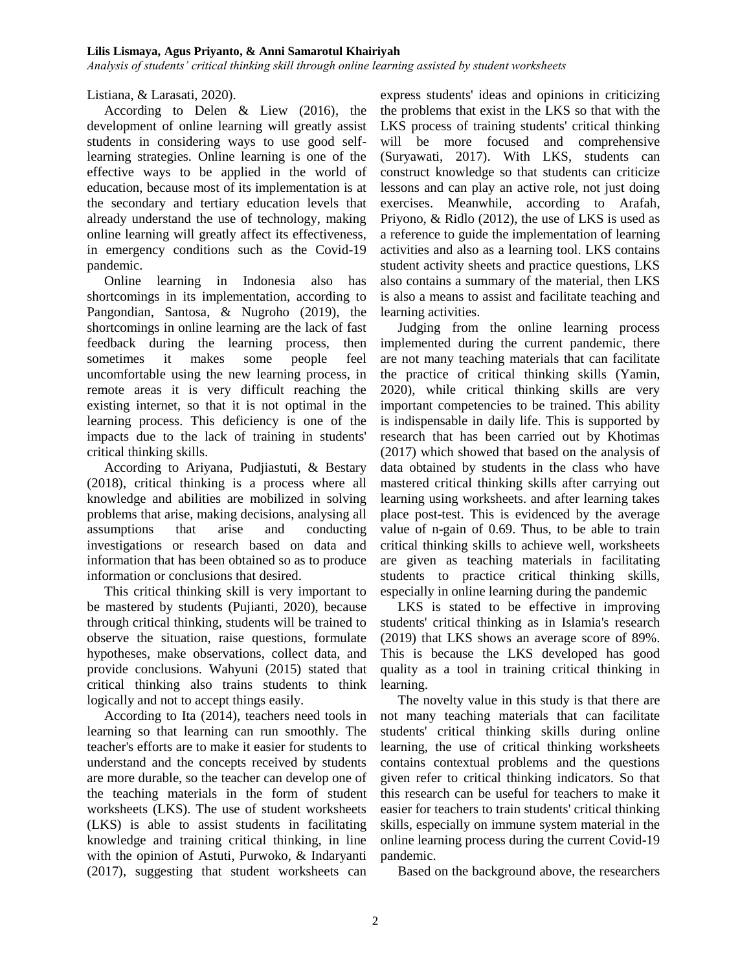*Analysis of students' critical thinking skill through online learning assisted by student worksheets*

Listiana, & Larasati, 2020).

According to Delen & Liew (2016), the development of online learning will greatly assist students in considering ways to use good selflearning strategies. Online learning is one of the effective ways to be applied in the world of education, because most of its implementation is at the secondary and tertiary education levels that already understand the use of technology, making online learning will greatly affect its effectiveness, in emergency conditions such as the Covid-19 pandemic.

Online learning in Indonesia also has shortcomings in its implementation, according to Pangondian, Santosa, & Nugroho (2019), the shortcomings in online learning are the lack of fast feedback during the learning process, then sometimes it makes some people feel uncomfortable using the new learning process, in remote areas it is very difficult reaching the existing internet, so that it is not optimal in the learning process. This deficiency is one of the impacts due to the lack of training in students' critical thinking skills.

According to Ariyana, Pudjiastuti, & Bestary (2018), critical thinking is a process where all knowledge and abilities are mobilized in solving problems that arise, making decisions, analysing all assumptions that arise and conducting investigations or research based on data and information that has been obtained so as to produce information or conclusions that desired.

This critical thinking skill is very important to be mastered by students (Pujianti, 2020), because through critical thinking, students will be trained to observe the situation, raise questions, formulate hypotheses, make observations, collect data, and provide conclusions. Wahyuni (2015) stated that critical thinking also trains students to think logically and not to accept things easily.

According to Ita (2014), teachers need tools in learning so that learning can run smoothly. The teacher's efforts are to make it easier for students to understand and the concepts received by students are more durable, so the teacher can develop one of the teaching materials in the form of student worksheets (LKS). The use of student worksheets (LKS) is able to assist students in facilitating knowledge and training critical thinking, in line with the opinion of Astuti, Purwoko, & Indaryanti (2017), suggesting that student worksheets can

express students' ideas and opinions in criticizing the problems that exist in the LKS so that with the LKS process of training students' critical thinking will be more focused and comprehensive (Suryawati, 2017). With LKS, students can construct knowledge so that students can criticize lessons and can play an active role, not just doing exercises. Meanwhile, according to Arafah, Priyono, & Ridlo (2012), the use of LKS is used as a reference to guide the implementation of learning activities and also as a learning tool. LKS contains student activity sheets and practice questions, LKS also contains a summary of the material, then LKS is also a means to assist and facilitate teaching and learning activities.

Judging from the online learning process implemented during the current pandemic, there are not many teaching materials that can facilitate the practice of critical thinking skills (Yamin, 2020), while critical thinking skills are very important competencies to be trained. This ability is indispensable in daily life. This is supported by research that has been carried out by Khotimas (2017) which showed that based on the analysis of data obtained by students in the class who have mastered critical thinking skills after carrying out learning using worksheets. and after learning takes place post-test. This is evidenced by the average value of n-gain of 0.69. Thus, to be able to train critical thinking skills to achieve well, worksheets are given as teaching materials in facilitating students to practice critical thinking skills, especially in online learning during the pandemic

LKS is stated to be effective in improving students' critical thinking as in Islamia's research (2019) that LKS shows an average score of 89%. This is because the LKS developed has good quality as a tool in training critical thinking in learning.

The novelty value in this study is that there are not many teaching materials that can facilitate students' critical thinking skills during online learning, the use of critical thinking worksheets contains contextual problems and the questions given refer to critical thinking indicators. So that this research can be useful for teachers to make it easier for teachers to train students' critical thinking skills, especially on immune system material in the online learning process during the current Covid-19 pandemic.

Based on the background above, the researchers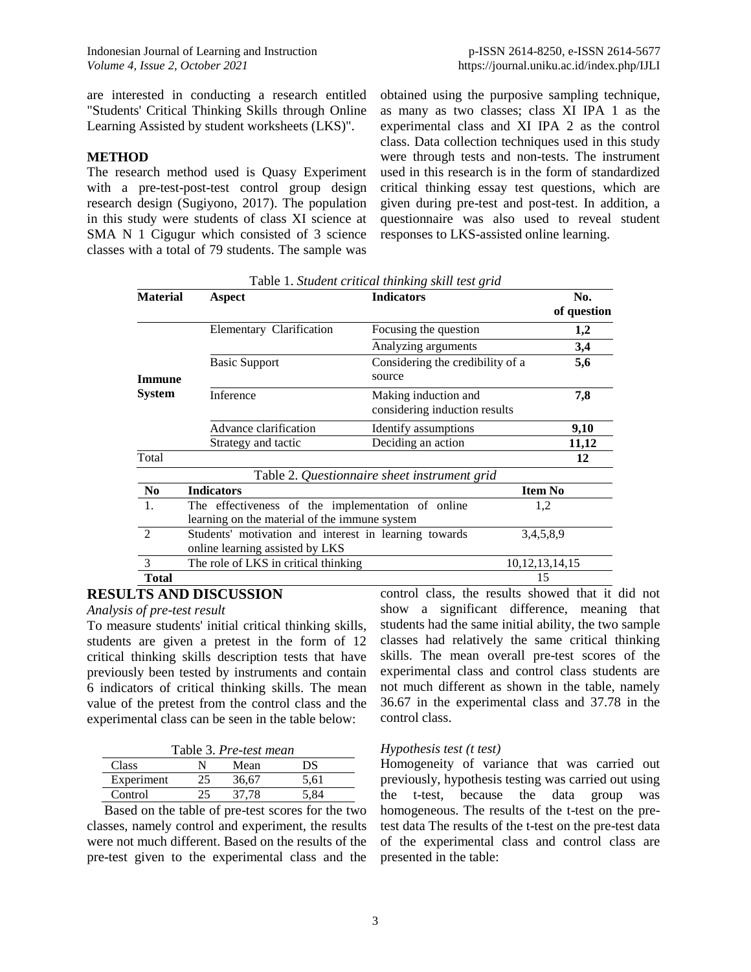are interested in conducting a research entitled "Students' Critical Thinking Skills through Online Learning Assisted by student worksheets (LKS)".

### **METHOD**

The research method used is Quasy Experiment with a pre-test-post-test control group design research design (Sugiyono, 2017). The population in this study were students of class XI science at SMA N 1 Cigugur which consisted of 3 science classes with a total of 79 students. The sample was obtained using the purposive sampling technique, as many as two classes; class XI IPA 1 as the experimental class and XI IPA 2 as the control class. Data collection techniques used in this study were through tests and non-tests. The instrument used in this research is in the form of standardized critical thinking essay test questions, which are given during pre-test and post-test. In addition, a questionnaire was also used to reveal student responses to LKS-assisted online learning.

| <b>Material</b> | Aspect                                                | <b>Tuble 1: Sharehold Charles interacting Sharehold Replace</b><br><b>Indicators</b> | No.            |
|-----------------|-------------------------------------------------------|--------------------------------------------------------------------------------------|----------------|
|                 |                                                       |                                                                                      | of question    |
|                 | Elementary Clarification                              | Focusing the question                                                                | 1,2            |
|                 |                                                       | Analyzing arguments                                                                  | 3,4            |
| Immune          | <b>Basic Support</b>                                  | Considering the credibility of a<br>source                                           | 5,6            |
| <b>System</b>   | Inference                                             | Making induction and<br>considering induction results                                | 7,8            |
|                 | Advance clarification                                 | Identify assumptions                                                                 | 9,10           |
|                 | Strategy and tactic                                   | Deciding an action                                                                   | 11,12          |
| Total           |                                                       |                                                                                      | 12             |
|                 |                                                       | Table 2. Questionnaire sheet instrument grid                                         |                |
| N <sub>0</sub>  | <b>Indicators</b>                                     |                                                                                      | <b>Item No</b> |
| -1.             | The effectiveness of the implementation of online     | 1,2                                                                                  |                |
|                 | learning on the material of the immune system         |                                                                                      |                |
| $\mathfrak{D}$  | Students' motivation and interest in learning towards |                                                                                      | 3,4,5,8,9      |
|                 | online learning assisted by LKS                       |                                                                                      |                |
| 3               | The role of LKS in critical thinking                  | 10, 12, 13, 14, 15                                                                   |                |
| Total           |                                                       |                                                                                      | 15             |

Table 1. *Student critical thinking skill test grid*

## **RESULTS AND DISCUSSION**

*Analysis of pre-test result* 

To measure students' initial critical thinking skills, students are given a pretest in the form of 12 critical thinking skills description tests that have previously been tested by instruments and contain 6 indicators of critical thinking skills. The mean value of the pretest from the control class and the experimental class can be seen in the table below:

| Table 3. Pre-test mean |           |       |      |  |  |  |
|------------------------|-----------|-------|------|--|--|--|
| Class                  |           | Mean  | DS   |  |  |  |
| Experiment             | $\lambda$ | 36.67 | 5.61 |  |  |  |
| Control                |           | 37.78 |      |  |  |  |

Based on the table of pre-test scores for the two classes, namely control and experiment, the results were not much different. Based on the results of the pre-test given to the experimental class and the control class, the results showed that it did not show a significant difference, meaning that students had the same initial ability, the two sample classes had relatively the same critical thinking skills. The mean overall pre-test scores of the experimental class and control class students are not much different as shown in the table, namely 36.67 in the experimental class and 37.78 in the control class.

### *Hypothesis test (t test)*

Homogeneity of variance that was carried out previously, hypothesis testing was carried out using the t-test, because the data group was homogeneous. The results of the t-test on the pretest data The results of the t-test on the pre-test data of the experimental class and control class are presented in the table: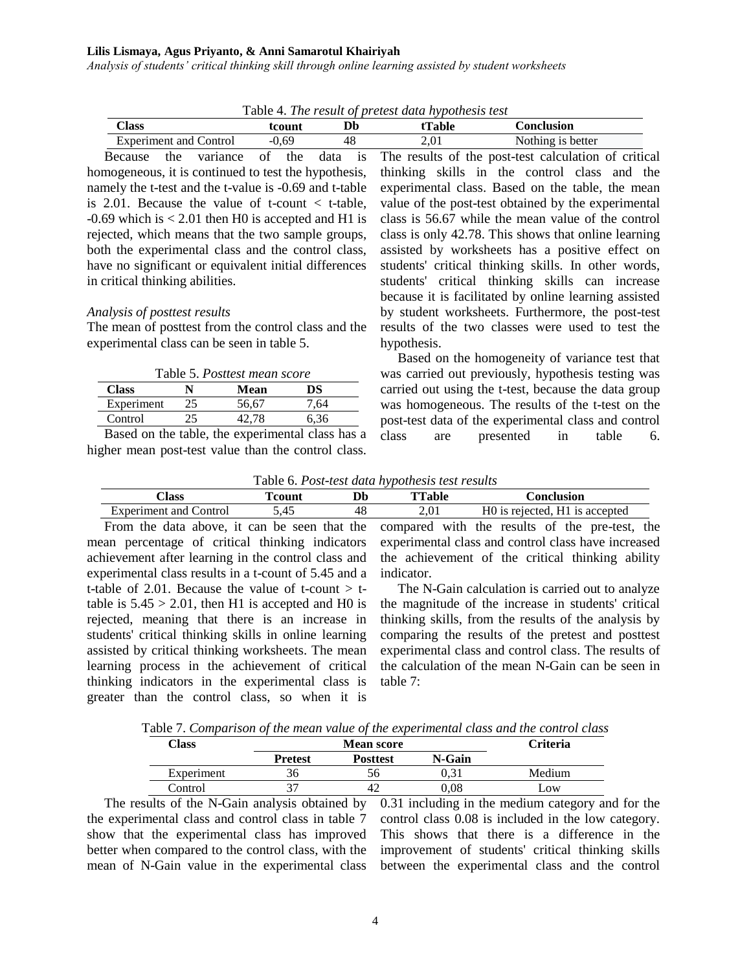*Analysis of students' critical thinking skill through online learning assisted by student worksheets*

| Table 4. The result of pretest data hypothesis test |         |    |        |                   |  |  |  |
|-----------------------------------------------------|---------|----|--------|-------------------|--|--|--|
| Class                                               | tcount  | Db | tTable | <b>Conclusion</b> |  |  |  |
| Experiment and Control                              | $-0.69$ | 48 | 2.01   | Nothing is better |  |  |  |
|                                                     |         |    |        |                   |  |  |  |

Because the variance of the data is homogeneous, it is continued to test the hypothesis, namely the t-test and the t-value is -0.69 and t-table is 2.01. Because the value of t-count  $\lt$  t-table,  $-0.69$  which is  $< 2.01$  then H0 is accepted and H1 is rejected, which means that the two sample groups, both the experimental class and the control class, have no significant or equivalent initial differences in critical thinking abilities.

#### *Analysis of posttest results*

The mean of posttest from the control class and the experimental class can be seen in table 5.

| Table 5. Posttest mean score |    |  |       |      |  |  |  |
|------------------------------|----|--|-------|------|--|--|--|
| <b>Class</b><br>DS<br>Mean   |    |  |       |      |  |  |  |
| Experiment                   | 25 |  | 56,67 | 7.64 |  |  |  |
| Control                      | 15 |  | 42.78 | 6.36 |  |  |  |
|                              |    |  |       |      |  |  |  |

Based on the table, the experimental class has a higher mean post-test value than the control class.

The results of the post-test calculation of critical thinking skills in the control class and the experimental class. Based on the table, the mean value of the post-test obtained by the experimental class is 56.67 while the mean value of the control class is only 42.78. This shows that online learning assisted by worksheets has a positive effect on students' critical thinking skills. In other words, students' critical thinking skills can increase because it is facilitated by online learning assisted by student worksheets. Furthermore, the post-test results of the two classes were used to test the hypothesis.

Based on the homogeneity of variance test that was carried out previously, hypothesis testing was carried out using the t-test, because the data group was homogeneous. The results of the t-test on the post-test data of the experimental class and control class are presented in table 6.

Table 6. *Post-test data hypothesis test results*

| Llass                        | <b>count</b>                  |    | <b>TTable</b>                          | :onclusion                                      |
|------------------------------|-------------------------------|----|----------------------------------------|-------------------------------------------------|
| ∠ontrol<br>Experiment<br>and | $\cdot$<br><u>д</u> -<br>シューン | 46 | $\cdot$ $\cap$ $\cdot$<br>$\sim$<br>v. | T<br>н<br>is accepted<br>. rejected.<br>1 I 1 C |

From the data above, it can be seen that the mean percentage of critical thinking indicators achievement after learning in the control class and experimental class results in a t-count of 5.45 and a t-table of 2.01. Because the value of t-count  $>$  ttable is  $5.45 > 2.01$ , then H1 is accepted and H0 is rejected, meaning that there is an increase in students' critical thinking skills in online learning assisted by critical thinking worksheets. The mean learning process in the achievement of critical thinking indicators in the experimental class is greater than the control class, so when it is compared with the results of the pre-test, the experimental class and control class have increased the achievement of the critical thinking ability indicator.

The N-Gain calculation is carried out to analyze the magnitude of the increase in students' critical thinking skills, from the results of the analysis by comparing the results of the pretest and posttest experimental class and control class. The results of the calculation of the mean N-Gain can be seen in table 7:

Table 7. *Comparison of the mean value of the experimental class and the control class*

| Class      |                | Criteria        |        |        |
|------------|----------------|-----------------|--------|--------|
|            | <b>Pretest</b> | <b>Posttest</b> | N-Gain |        |
| Experiment | 50             |                 |        | Medium |
| Control    |                | ∸               | .08    | .OW    |

The results of the N-Gain analysis obtained by the experimental class and control class in table 7 show that the experimental class has improved better when compared to the control class, with the mean of N-Gain value in the experimental class 0.31 including in the medium category and for the control class 0.08 is included in the low category. This shows that there is a difference in the improvement of students' critical thinking skills between the experimental class and the control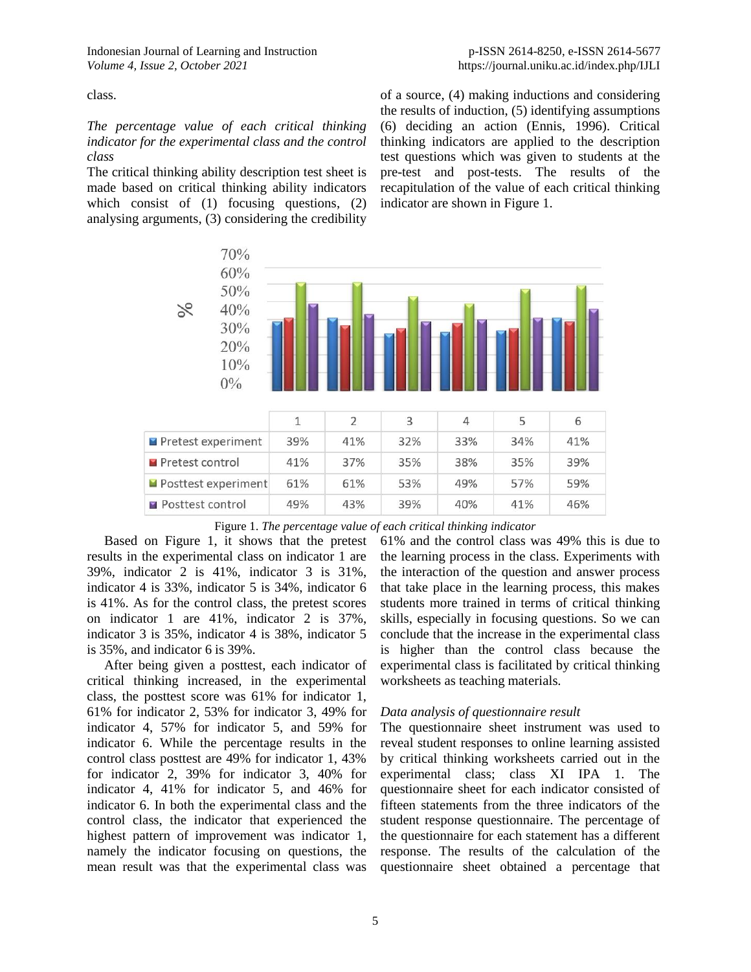class.

*The percentage value of each critical thinking indicator for the experimental class and the control class*

The critical thinking ability description test sheet is made based on critical thinking ability indicators which consist of (1) focusing questions, (2) analysing arguments, (3) considering the credibility of a source, (4) making inductions and considering the results of induction, (5) identifying assumptions (6) deciding an action (Ennis, 1996). Critical thinking indicators are applied to the description test questions which was given to students at the pre-test and post-tests. The results of the recapitulation of the value of each critical thinking indicator are shown in Figure 1.



|  | Figure 1. The percentage value of each critical thinking indicator |  |  |  |
|--|--------------------------------------------------------------------|--|--|--|
|  |                                                                    |  |  |  |

Based on Figure 1, it shows that the pretest results in the experimental class on indicator 1 are 39%, indicator 2 is 41%, indicator 3 is 31%, indicator 4 is 33%, indicator 5 is 34%, indicator 6 is 41%. As for the control class, the pretest scores on indicator 1 are 41%, indicator 2 is 37%, indicator 3 is 35%, indicator 4 is 38%, indicator 5 is 35%, and indicator 6 is 39%.

After being given a posttest, each indicator of critical thinking increased, in the experimental class, the posttest score was 61% for indicator 1, 61% for indicator 2, 53% for indicator 3, 49% for indicator 4, 57% for indicator 5, and 59% for indicator 6. While the percentage results in the control class posttest are 49% for indicator 1, 43% for indicator 2, 39% for indicator 3, 40% for indicator 4, 41% for indicator 5, and 46% for indicator 6. In both the experimental class and the control class, the indicator that experienced the highest pattern of improvement was indicator 1, namely the indicator focusing on questions, the mean result was that the experimental class was

61% and the control class was 49% this is due to the learning process in the class. Experiments with the interaction of the question and answer process that take place in the learning process, this makes students more trained in terms of critical thinking skills, especially in focusing questions. So we can conclude that the increase in the experimental class is higher than the control class because the experimental class is facilitated by critical thinking worksheets as teaching materials.

### *Data analysis of questionnaire result*

The questionnaire sheet instrument was used to reveal student responses to online learning assisted by critical thinking worksheets carried out in the experimental class; class XI IPA 1. The questionnaire sheet for each indicator consisted of fifteen statements from the three indicators of the student response questionnaire. The percentage of the questionnaire for each statement has a different response. The results of the calculation of the questionnaire sheet obtained a percentage that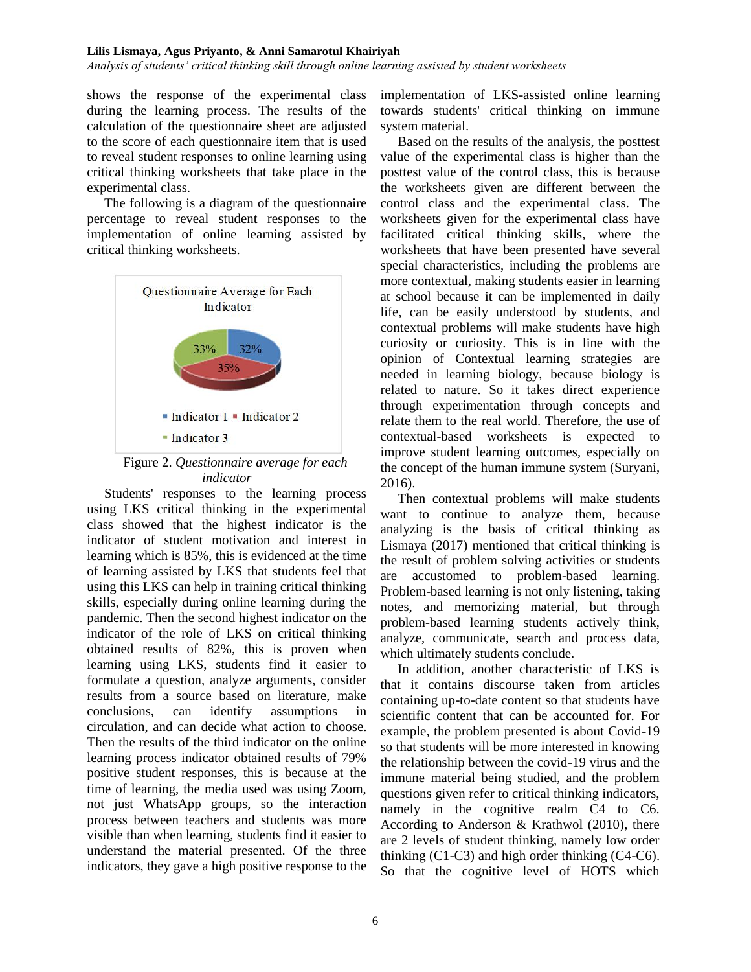*Analysis of students' critical thinking skill through online learning assisted by student worksheets*

shows the response of the experimental class during the learning process. The results of the calculation of the questionnaire sheet are adjusted to the score of each questionnaire item that is used to reveal student responses to online learning using critical thinking worksheets that take place in the experimental class.

The following is a diagram of the questionnaire percentage to reveal student responses to the implementation of online learning assisted by critical thinking worksheets.



Figure 2. *Questionnaire average for each indicator*

Students' responses to the learning process using LKS critical thinking in the experimental class showed that the highest indicator is the indicator of student motivation and interest in learning which is 85%, this is evidenced at the time of learning assisted by LKS that students feel that using this LKS can help in training critical thinking skills, especially during online learning during the pandemic. Then the second highest indicator on the indicator of the role of LKS on critical thinking obtained results of 82%, this is proven when learning using LKS, students find it easier to formulate a question, analyze arguments, consider results from a source based on literature, make conclusions, can identify assumptions in circulation, and can decide what action to choose. Then the results of the third indicator on the online learning process indicator obtained results of 79% positive student responses, this is because at the time of learning, the media used was using Zoom, not just WhatsApp groups, so the interaction process between teachers and students was more visible than when learning, students find it easier to understand the material presented. Of the three indicators, they gave a high positive response to the implementation of LKS-assisted online learning towards students' critical thinking on immune system material.

Based on the results of the analysis, the posttest value of the experimental class is higher than the posttest value of the control class, this is because the worksheets given are different between the control class and the experimental class. The worksheets given for the experimental class have facilitated critical thinking skills, where the worksheets that have been presented have several special characteristics, including the problems are more contextual, making students easier in learning at school because it can be implemented in daily life, can be easily understood by students, and contextual problems will make students have high curiosity or curiosity. This is in line with the opinion of Contextual learning strategies are needed in learning biology, because biology is related to nature. So it takes direct experience through experimentation through concepts and relate them to the real world. Therefore, the use of contextual-based worksheets is expected to improve student learning outcomes, especially on the concept of the human immune system (Suryani, 2016).

Then contextual problems will make students want to continue to analyze them, because analyzing is the basis of critical thinking as Lismaya (2017) mentioned that critical thinking is the result of problem solving activities or students are accustomed to problem-based learning. Problem-based learning is not only listening, taking notes, and memorizing material, but through problem-based learning students actively think, analyze, communicate, search and process data, which ultimately students conclude.

In addition, another characteristic of LKS is that it contains discourse taken from articles containing up-to-date content so that students have scientific content that can be accounted for. For example, the problem presented is about Covid-19 so that students will be more interested in knowing the relationship between the covid-19 virus and the immune material being studied, and the problem questions given refer to critical thinking indicators, namely in the cognitive realm C4 to C6. According to Anderson & Krathwol (2010), there are 2 levels of student thinking, namely low order thinking (C1-C3) and high order thinking (C4-C6). So that the cognitive level of HOTS which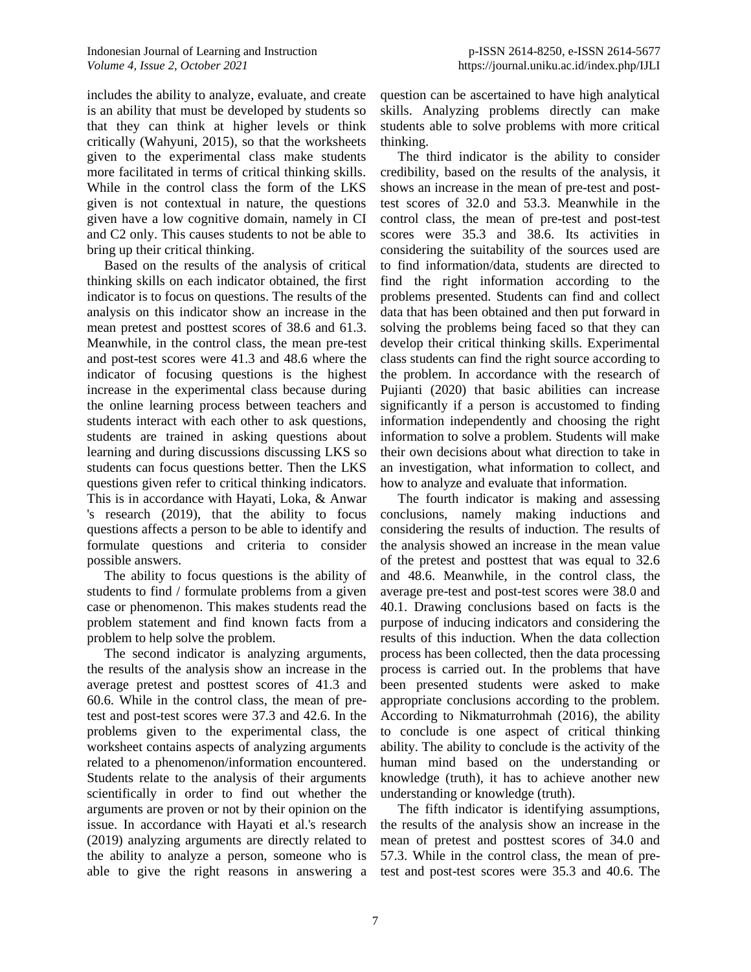includes the ability to analyze, evaluate, and create is an ability that must be developed by students so that they can think at higher levels or think critically (Wahyuni, 2015), so that the worksheets given to the experimental class make students more facilitated in terms of critical thinking skills. While in the control class the form of the LKS given is not contextual in nature, the questions given have a low cognitive domain, namely in CI and C2 only. This causes students to not be able to bring up their critical thinking.

Based on the results of the analysis of critical thinking skills on each indicator obtained, the first indicator is to focus on questions. The results of the analysis on this indicator show an increase in the mean pretest and posttest scores of 38.6 and 61.3. Meanwhile, in the control class, the mean pre-test and post-test scores were 41.3 and 48.6 where the indicator of focusing questions is the highest increase in the experimental class because during the online learning process between teachers and students interact with each other to ask questions, students are trained in asking questions about learning and during discussions discussing LKS so students can focus questions better. Then the LKS questions given refer to critical thinking indicators. This is in accordance with Hayati, Loka, & Anwar 's research (2019), that the ability to focus questions affects a person to be able to identify and formulate questions and criteria to consider possible answers.

The ability to focus questions is the ability of students to find / formulate problems from a given case or phenomenon. This makes students read the problem statement and find known facts from a problem to help solve the problem.

The second indicator is analyzing arguments, the results of the analysis show an increase in the average pretest and posttest scores of 41.3 and 60.6. While in the control class, the mean of pretest and post-test scores were 37.3 and 42.6. In the problems given to the experimental class, the worksheet contains aspects of analyzing arguments related to a phenomenon/information encountered. Students relate to the analysis of their arguments scientifically in order to find out whether the arguments are proven or not by their opinion on the issue. In accordance with Hayati et al.'s research (2019) analyzing arguments are directly related to the ability to analyze a person, someone who is able to give the right reasons in answering a

question can be ascertained to have high analytical skills. Analyzing problems directly can make students able to solve problems with more critical thinking.

The third indicator is the ability to consider credibility, based on the results of the analysis, it shows an increase in the mean of pre-test and posttest scores of 32.0 and 53.3. Meanwhile in the control class, the mean of pre-test and post-test scores were 35.3 and 38.6. Its activities in considering the suitability of the sources used are to find information/data, students are directed to find the right information according to the problems presented. Students can find and collect data that has been obtained and then put forward in solving the problems being faced so that they can develop their critical thinking skills. Experimental class students can find the right source according to the problem. In accordance with the research of Pujianti (2020) that basic abilities can increase significantly if a person is accustomed to finding information independently and choosing the right information to solve a problem. Students will make their own decisions about what direction to take in an investigation, what information to collect, and how to analyze and evaluate that information.

The fourth indicator is making and assessing conclusions, namely making inductions and considering the results of induction. The results of the analysis showed an increase in the mean value of the pretest and posttest that was equal to 32.6 and 48.6. Meanwhile, in the control class, the average pre-test and post-test scores were 38.0 and 40.1. Drawing conclusions based on facts is the purpose of inducing indicators and considering the results of this induction. When the data collection process has been collected, then the data processing process is carried out. In the problems that have been presented students were asked to make appropriate conclusions according to the problem. According to Nikmaturrohmah (2016), the ability to conclude is one aspect of critical thinking ability. The ability to conclude is the activity of the human mind based on the understanding or knowledge (truth), it has to achieve another new understanding or knowledge (truth).

The fifth indicator is identifying assumptions, the results of the analysis show an increase in the mean of pretest and posttest scores of 34.0 and 57.3. While in the control class, the mean of pretest and post-test scores were 35.3 and 40.6. The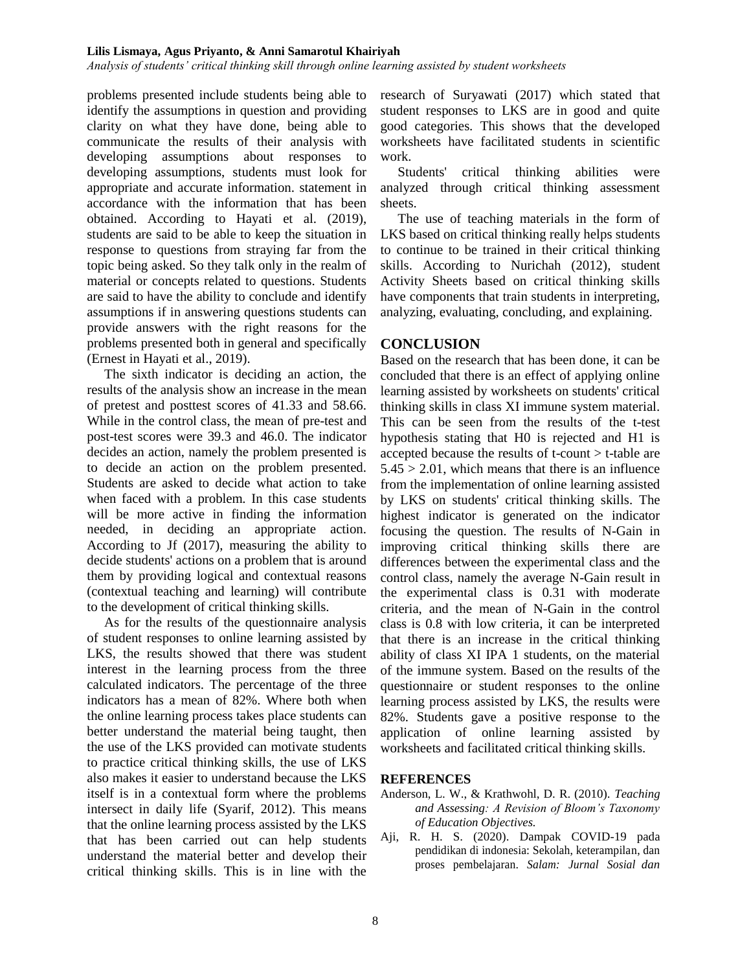*Analysis of students' critical thinking skill through online learning assisted by student worksheets*

problems presented include students being able to identify the assumptions in question and providing clarity on what they have done, being able to communicate the results of their analysis with developing assumptions about responses to developing assumptions, students must look for appropriate and accurate information. statement in accordance with the information that has been obtained. According to Hayati et al. (2019), students are said to be able to keep the situation in response to questions from straying far from the topic being asked. So they talk only in the realm of material or concepts related to questions. Students are said to have the ability to conclude and identify assumptions if in answering questions students can provide answers with the right reasons for the problems presented both in general and specifically (Ernest in Hayati et al., 2019).

The sixth indicator is deciding an action, the results of the analysis show an increase in the mean of pretest and posttest scores of 41.33 and 58.66. While in the control class, the mean of pre-test and post-test scores were 39.3 and 46.0. The indicator decides an action, namely the problem presented is to decide an action on the problem presented. Students are asked to decide what action to take when faced with a problem. In this case students will be more active in finding the information needed, in deciding an appropriate action. According to Jf (2017), measuring the ability to decide students' actions on a problem that is around them by providing logical and contextual reasons (contextual teaching and learning) will contribute to the development of critical thinking skills.

As for the results of the questionnaire analysis of student responses to online learning assisted by LKS, the results showed that there was student interest in the learning process from the three calculated indicators. The percentage of the three indicators has a mean of 82%. Where both when the online learning process takes place students can better understand the material being taught, then the use of the LKS provided can motivate students to practice critical thinking skills, the use of LKS also makes it easier to understand because the LKS itself is in a contextual form where the problems intersect in daily life (Syarif, 2012). This means that the online learning process assisted by the LKS that has been carried out can help students understand the material better and develop their critical thinking skills. This is in line with the research of Suryawati (2017) which stated that student responses to LKS are in good and quite good categories. This shows that the developed worksheets have facilitated students in scientific work.

Students' critical thinking abilities were analyzed through critical thinking assessment sheets.

The use of teaching materials in the form of LKS based on critical thinking really helps students to continue to be trained in their critical thinking skills. According to Nurichah (2012), student Activity Sheets based on critical thinking skills have components that train students in interpreting, analyzing, evaluating, concluding, and explaining.

### **CONCLUSION**

Based on the research that has been done, it can be concluded that there is an effect of applying online learning assisted by worksheets on students' critical thinking skills in class XI immune system material. This can be seen from the results of the t-test hypothesis stating that H0 is rejected and H1 is accepted because the results of t-count > t-table are  $5.45 > 2.01$ , which means that there is an influence from the implementation of online learning assisted by LKS on students' critical thinking skills. The highest indicator is generated on the indicator focusing the question. The results of N-Gain in improving critical thinking skills there are differences between the experimental class and the control class, namely the average N-Gain result in the experimental class is 0.31 with moderate criteria, and the mean of N-Gain in the control class is 0.8 with low criteria, it can be interpreted that there is an increase in the critical thinking ability of class XI IPA 1 students, on the material of the immune system. Based on the results of the questionnaire or student responses to the online learning process assisted by LKS, the results were 82%. Students gave a positive response to the application of online learning assisted by worksheets and facilitated critical thinking skills.

### **REFERENCES**

- Anderson, L. W., & Krathwohl, D. R. (2010). *Teaching and Assessing: A Revision of Bloom's Taxonomy of Education Objectives.*
- Aji, R. H. S. (2020). Dampak COVID-19 pada pendidikan di indonesia: Sekolah, keterampilan, dan proses pembelajaran. *Salam: Jurnal Sosial dan*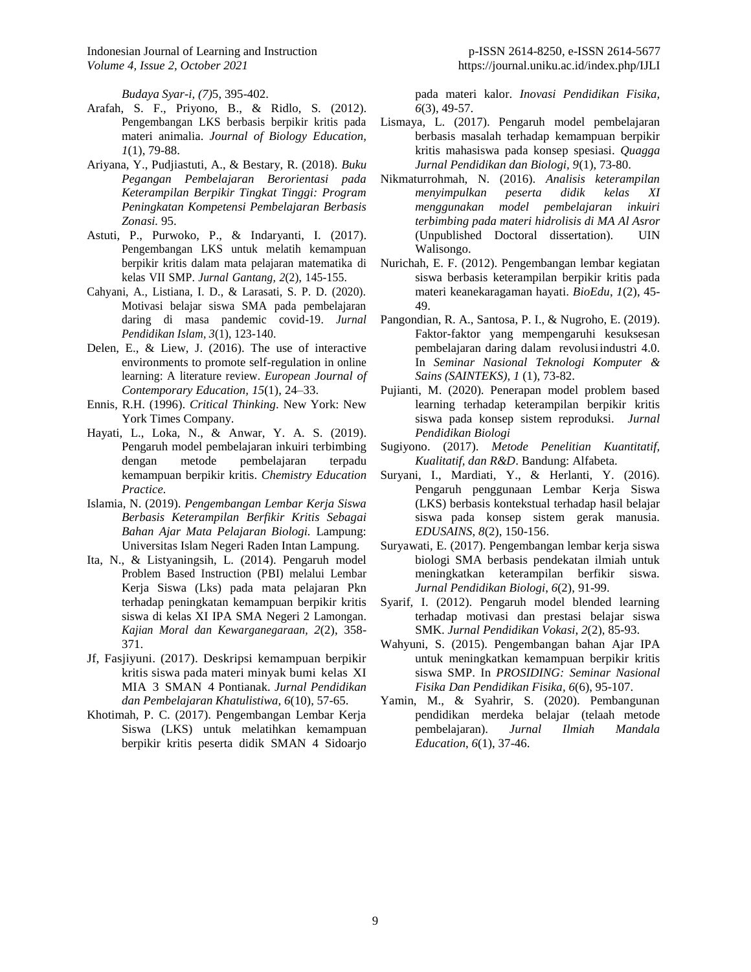*Budaya Syar-i, (7)*5, 395-402.

- Arafah, S. F., Priyono, B., & Ridlo, S. (2012). Pengembangan LKS berbasis berpikir kritis pada materi animalia. *Journal of Biology Education, 1*(1), 79-88.
- Ariyana, Y., Pudjiastuti, A., & Bestary, R. (2018). *Buku Pegangan Pembelajaran Berorientasi pada Keterampilan Berpikir Tingkat Tinggi: Program Peningkatan Kompetensi Pembelajaran Berbasis Zonasi.* 95.
- Astuti, P., Purwoko, P., & Indaryanti, I. (2017). Pengembangan LKS untuk melatih kemampuan berpikir kritis dalam mata pelajaran matematika di kelas VII SMP. *Jurnal Gantang, 2*(2), 145-155.
- Cahyani, A., Listiana, I. D., & Larasati, S. P. D. (2020). Motivasi belajar siswa SMA pada pembelajaran daring di masa pandemic covid-19. *Jurnal Pendidikan Islam, 3*(1), 123-140.
- Delen, E., & Liew, J. (2016). The use of interactive environments to promote self-regulation in online learning: A literature review. *European Journal of Contemporary Education, 15*(1), 24–33.
- Ennis, R.H. (1996). *Critical Thinking*. New York: New York Times Company.
- Hayati, L., Loka, N., & Anwar, Y. A. S. (2019). Pengaruh model pembelajaran inkuiri terbimbing dengan metode pembelajaran terpadu kemampuan berpikir kritis. *Chemistry Education Practice.*
- Islamia, N. (2019). *Pengembangan Lembar Kerja Siswa Berbasis Keterampilan Berfikir Kritis Sebagai Bahan Ajar Mata Pelajaran Biologi.* Lampung: Universitas Islam Negeri Raden Intan Lampung.
- Ita, N., & Listyaningsih, L. (2014). Pengaruh model Problem Based Instruction (PBI) melalui Lembar Kerja Siswa (Lks) pada mata pelajaran Pkn terhadap peningkatan kemampuan berpikir kritis siswa di kelas XI IPA SMA Negeri 2 Lamongan. *Kajian Moral dan Kewarganegaraan, 2*(2), 358- 371.
- Jf, Fasjiyuni. (2017). Deskripsi kemampuan berpikir kritis siswa pada materi minyak bumi kelas XI MIA 3 SMAN 4 Pontianak. *Jurnal Pendidikan dan Pembelajaran Khatulistiwa, 6*(10), 57-65.
- Khotimah, P. C. (2017). Pengembangan Lembar Kerja Siswa (LKS) untuk melatihkan kemampuan berpikir kritis peserta didik SMAN 4 Sidoarjo

pada materi kalor. *Inovasi Pendidikan Fisika, 6*(3), 49-57.

- Lismaya, L. (2017). Pengaruh model pembelajaran berbasis masalah terhadap kemampuan berpikir kritis mahasiswa pada konsep spesiasi. *Quagga Jurnal Pendidikan dan Biologi, 9*(1), 73-80.
- Nikmaturrohmah, N. (2016). *Analisis keterampilan menyimpulkan peserta didik kelas XI menggunakan model pembelajaran inkuiri terbimbing pada materi hidrolisis di MA Al Asror* (Unpublished Doctoral dissertation). UIN Walisongo.
- Nurichah, E. F. (2012). Pengembangan lembar kegiatan siswa berbasis keterampilan berpikir kritis pada materi keanekaragaman hayati. *BioEdu*, *1*(2), 45- 49.
- Pangondian, R. A., Santosa, P. I., & Nugroho, E. (2019). Faktor-faktor yang mempengaruhi kesuksesan pembelajaran daring dalam revolusiindustri 4.0. In *Seminar Nasional Teknologi Komputer & Sains (SAINTEKS), 1* (1), 73-82.
- Pujianti, M. (2020). Penerapan model problem based learning terhadap keterampilan berpikir kritis siswa pada konsep sistem reproduksi. *Jurnal Pendidikan Biologi*
- Sugiyono. (2017). *Metode Penelitian Kuantitatif, Kualitatif, dan R&D*. Bandung: Alfabeta.
- Suryani, I., Mardiati, Y., & Herlanti, Y. (2016). Pengaruh penggunaan Lembar Kerja Siswa (LKS) berbasis kontekstual terhadap hasil belajar siswa pada konsep sistem gerak manusia. *EDUSAINS*, *8*(2), 150-156.
- Suryawati, E. (2017). Pengembangan lembar kerja siswa biologi SMA berbasis pendekatan ilmiah untuk meningkatkan keterampilan berfikir siswa. *Jurnal Pendidikan Biologi*, *6*(2), 91-99.
- Syarif, I. (2012). Pengaruh model blended learning terhadap motivasi dan prestasi belajar siswa SMK. *Jurnal Pendidikan Vokasi*, *2*(2), 85-93.
- Wahyuni, S. (2015). Pengembangan bahan Ajar IPA untuk meningkatkan kemampuan berpikir kritis siswa SMP. In *PROSIDING: Seminar Nasional Fisika Dan Pendidikan Fisika, 6*(6), 95-107.
- Yamin, M., & Syahrir, S. (2020). Pembangunan pendidikan merdeka belajar (telaah metode pembelajaran). *Jurnal Ilmiah Mandala Education*, *6*(1), 37-46.